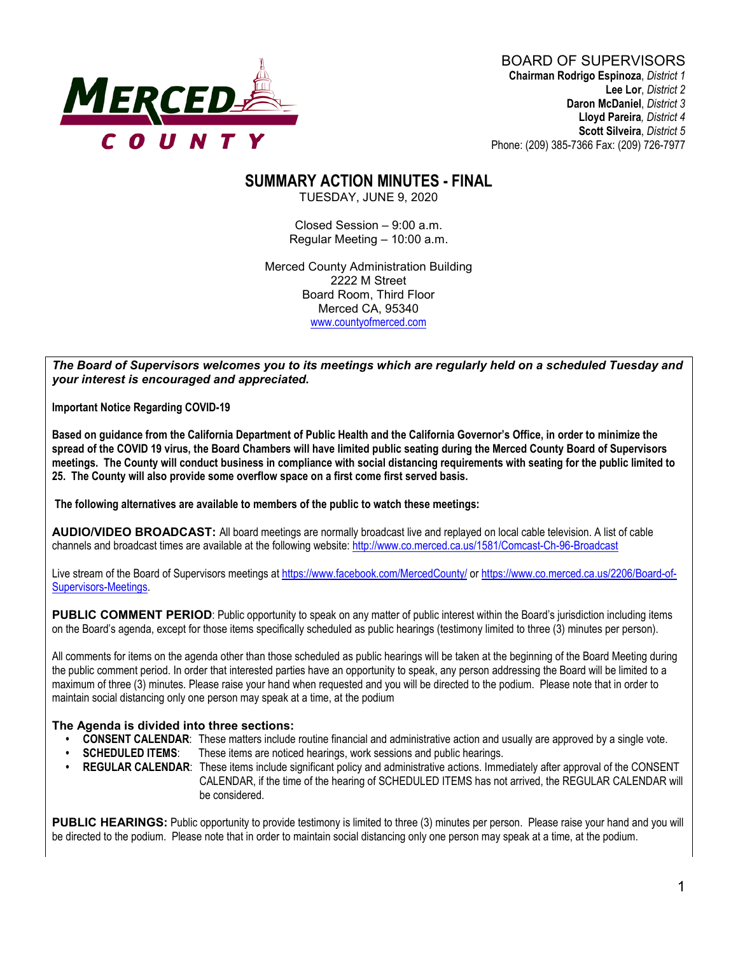

## **SUMMARY ACTION MINUTES - FINAL**

TUESDAY, JUNE 9, 2020

Closed Session – 9:00 a.m. Regular Meeting – 10:00 a.m.

Merced County Administration Building 2222 M Street Board Room, Third Floor Merced CA, 95340 www.countyofmerced.com

*The Board of Supervisors welcomes you to its meetings which are regularly held on a scheduled Tuesday and your interest is encouraged and appreciated.*

**Important Notice Regarding COVID-19**

**Based on guidance from the California Department of Public Health and the California Governor's Office, in order to minimize the spread of the COVID 19 virus, the Board Chambers will have limited public seating during the Merced County Board of Supervisors meetings. The County will conduct business in compliance with social distancing requirements with seating for the public limited to 25. The County will also provide some overflow space on a first come first served basis.** 

**The following alternatives are available to members of the public to watch these meetings:**

**AUDIO/VIDEO BROADCAST:** All board meetings are normally broadcast live and replayed on local cable television. A list of cable channels and broadcast times are available at the following website[: http://www.co.merced.ca.us/1581/Comcast-Ch-96-Broadcast](http://www.co.merced.ca.us/1581/Comcast-Ch-96-Broadcast)

Live stream of the Board of Supervisors meetings at<https://www.facebook.com/MercedCounty/> o[r https://www.co.merced.ca.us/2206/Board-of-](https://www.co.merced.ca.us/2206/Board-of-Supervisors-Meetings)[Supervisors-Meetings.](https://www.co.merced.ca.us/2206/Board-of-Supervisors-Meetings)

**PUBLIC COMMENT PERIOD**: Public opportunity to speak on any matter of public interest within the Board's jurisdiction including items on the Board's agenda, except for those items specifically scheduled as public hearings (testimony limited to three (3) minutes per person).

All comments for items on the agenda other than those scheduled as public hearings will be taken at the beginning of the Board Meeting during the public comment period. In order that interested parties have an opportunity to speak, any person addressing the Board will be limited to a maximum of three (3) minutes. Please raise your hand when requested and you will be directed to the podium. Please note that in order to maintain social distancing only one person may speak at a time, at the podium

#### **The Agenda is divided into three sections:**

- **CONSENT CALENDAR**: These matters include routine financial and administrative action and usually are approved by a single vote.
- **SCHEDULED ITEMS:** These items are noticed hearings, work sessions and public hearings.
- **REGULAR CALENDAR:** These items include significant policy and administrative actions. Immediately after approval of the CONSENT CALENDAR, if the time of the hearing of SCHEDULED ITEMS has not arrived, the REGULAR CALENDAR will be considered.

PUBLIC HEARINGS: Public opportunity to provide testimony is limited to three (3) minutes per person. Please raise your hand and you will be directed to the podium. Please note that in order to maintain social distancing only one person may speak at a time, at the podium.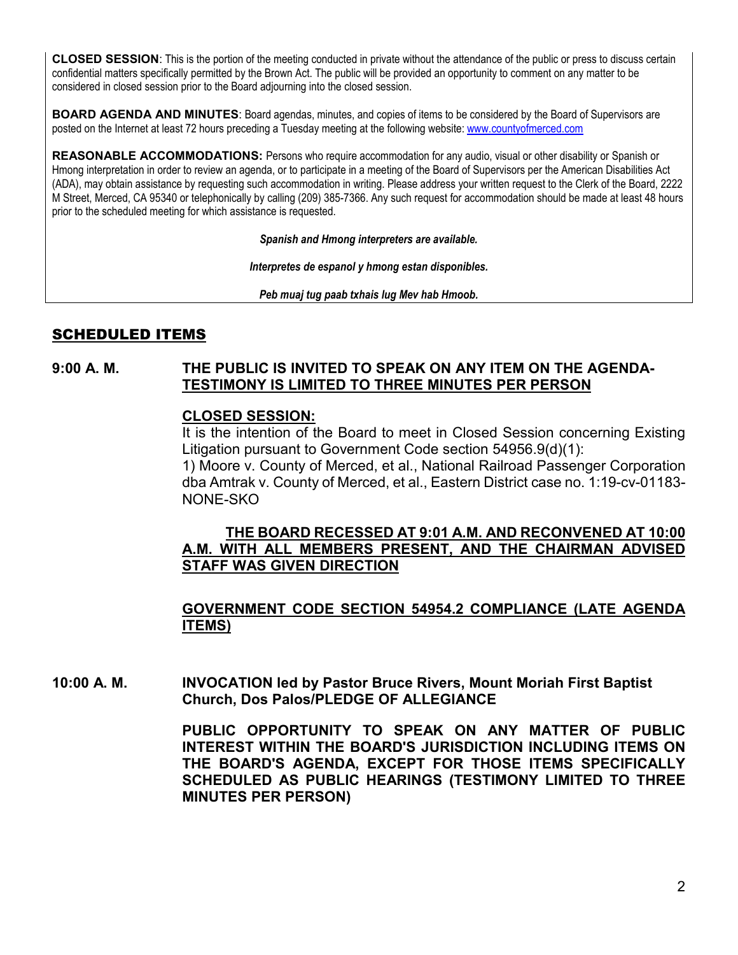**CLOSED SESSION**: This is the portion of the meeting conducted in private without the attendance of the public or press to discuss certain confidential matters specifically permitted by the Brown Act. The public will be provided an opportunity to comment on any matter to be considered in closed session prior to the Board adjourning into the closed session.

**BOARD AGENDA AND MINUTES:** Board agendas, minutes, and copies of items to be considered by the Board of Supervisors are posted on the Internet at least 72 hours preceding a Tuesday meeting at the following website: [www.countyofmerced.com](http://www.countyofmerced.com/) 

**REASONABLE ACCOMMODATIONS:** Persons who require accommodation for any audio, visual or other disability or Spanish or Hmong interpretation in order to review an agenda, or to participate in a meeting of the Board of Supervisors per the American Disabilities Act (ADA), may obtain assistance by requesting such accommodation in writing. Please address your written request to the Clerk of the Board, 2222 M Street, Merced, CA 95340 or telephonically by calling (209) 385-7366. Any such request for accommodation should be made at least 48 hours prior to the scheduled meeting for which assistance is requested.

*Spanish and Hmong interpreters are available.*

*Interpretes de espanol y hmong estan disponibles.*

*Peb muaj tug paab txhais lug Mev hab Hmoob.*

### SCHEDULED ITEMS

#### **9:00 A. M. THE PUBLIC IS INVITED TO SPEAK ON ANY ITEM ON THE AGENDA-TESTIMONY IS LIMITED TO THREE MINUTES PER PERSON**

#### **CLOSED SESSION:**

It is the intention of the Board to meet in Closed Session concerning Existing Litigation pursuant to Government Code section 54956.9(d)(1):

1) Moore v. County of Merced, et al., National Railroad Passenger Corporation dba Amtrak v. County of Merced, et al., Eastern District case no. 1:19-cv-01183- NONE-SKO

#### **THE BOARD RECESSED AT 9:01 A.M. AND RECONVENED AT 10:00 A.M. WITH ALL MEMBERS PRESENT, AND THE CHAIRMAN ADVISED STAFF WAS GIVEN DIRECTION**

### **GOVERNMENT CODE SECTION 54954.2 COMPLIANCE (LATE AGENDA ITEMS)**

**10:00 A. M. INVOCATION led by Pastor Bruce Rivers, Mount Moriah First Baptist Church, Dos Palos/PLEDGE OF ALLEGIANCE**

> **PUBLIC OPPORTUNITY TO SPEAK ON ANY MATTER OF PUBLIC INTEREST WITHIN THE BOARD'S JURISDICTION INCLUDING ITEMS ON THE BOARD'S AGENDA, EXCEPT FOR THOSE ITEMS SPECIFICALLY SCHEDULED AS PUBLIC HEARINGS (TESTIMONY LIMITED TO THREE MINUTES PER PERSON)**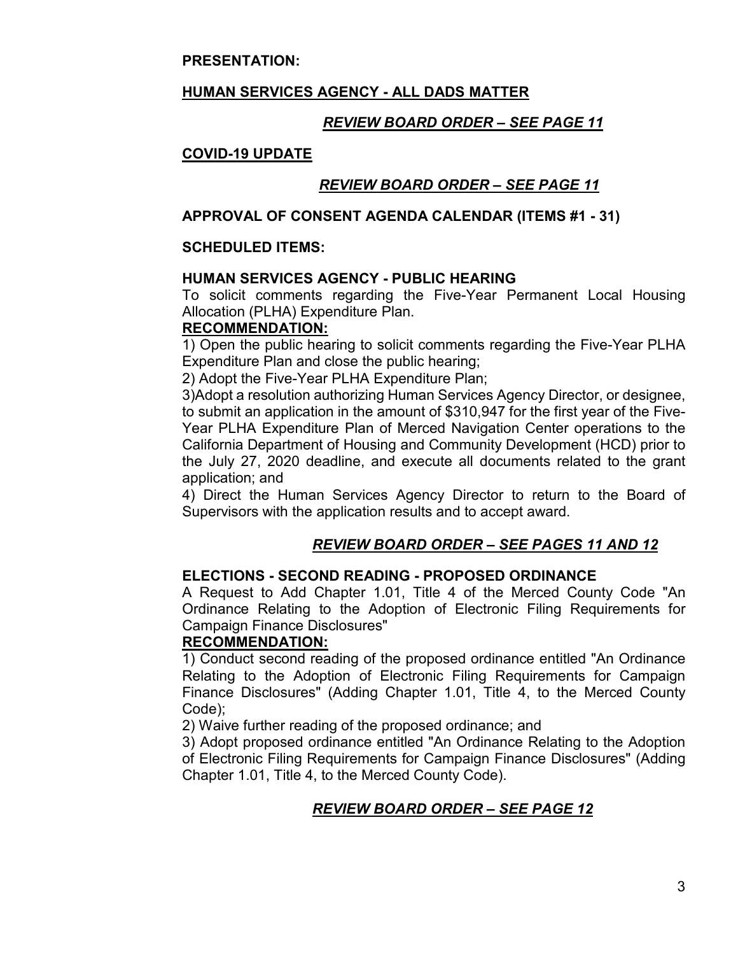#### **PRESENTATION:**

#### **HUMAN SERVICES AGENCY - ALL DADS MATTER**

### *REVIEW BOARD ORDER – SEE PAGE 11*

#### **COVID-19 UPDATE**

### *REVIEW BOARD ORDER – SEE PAGE 11*

#### **APPROVAL OF CONSENT AGENDA CALENDAR (ITEMS #1 - 31)**

#### **SCHEDULED ITEMS:**

#### **HUMAN SERVICES AGENCY - PUBLIC HEARING**

To solicit comments regarding the Five-Year Permanent Local Housing Allocation (PLHA) Expenditure Plan.

#### **RECOMMENDATION:**

1) Open the public hearing to solicit comments regarding the Five-Year PLHA Expenditure Plan and close the public hearing;

2) Adopt the Five-Year PLHA Expenditure Plan;

3)Adopt a resolution authorizing Human Services Agency Director, or designee, to submit an application in the amount of \$310,947 for the first year of the Five-Year PLHA Expenditure Plan of Merced Navigation Center operations to the California Department of Housing and Community Development (HCD) prior to the July 27, 2020 deadline, and execute all documents related to the grant application; and

4) Direct the Human Services Agency Director to return to the Board of Supervisors with the application results and to accept award.

### *REVIEW BOARD ORDER – SEE PAGES 11 AND 12*

### **ELECTIONS - SECOND READING - PROPOSED ORDINANCE**

A Request to Add Chapter 1.01, Title 4 of the Merced County Code "An Ordinance Relating to the Adoption of Electronic Filing Requirements for Campaign Finance Disclosures"

#### **RECOMMENDATION:**

1) Conduct second reading of the proposed ordinance entitled "An Ordinance Relating to the Adoption of Electronic Filing Requirements for Campaign Finance Disclosures" (Adding Chapter 1.01, Title 4, to the Merced County Code);

2) Waive further reading of the proposed ordinance; and

3) Adopt proposed ordinance entitled "An Ordinance Relating to the Adoption of Electronic Filing Requirements for Campaign Finance Disclosures" (Adding Chapter 1.01, Title 4, to the Merced County Code).

## *REVIEW BOARD ORDER – SEE PAGE 12*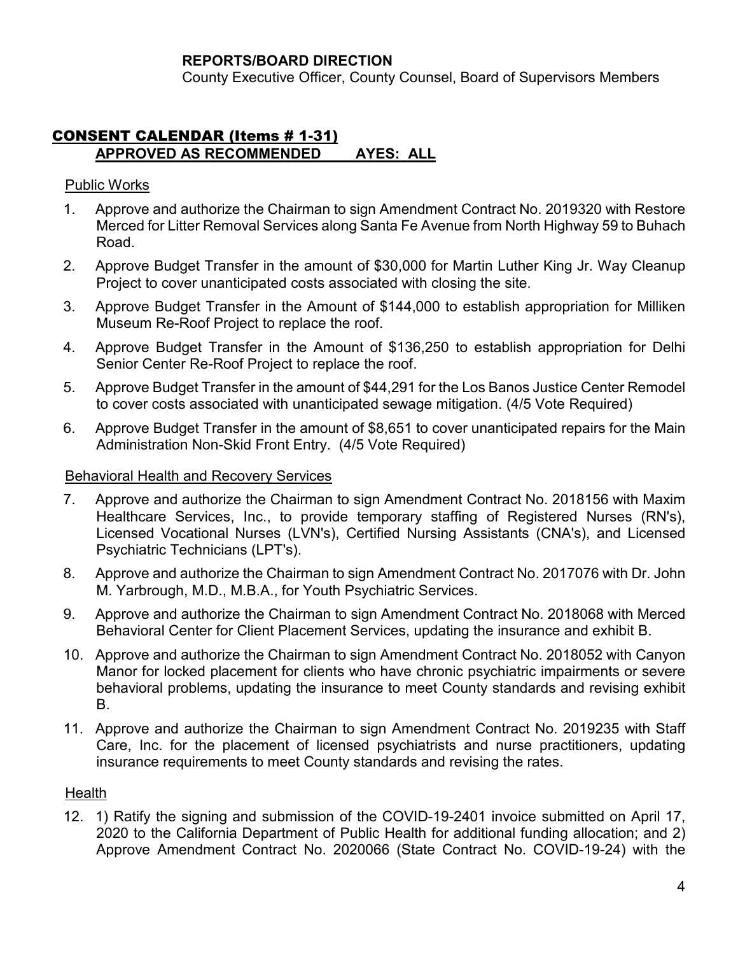### **REPORTS/BOARD DIRECTION**

County Executive Officer, County Counsel, Board of Supervisors Members

### CONSENT CALENDAR (Items # 1-31) **APPROVED AS RECOMMENDED AYES: ALL**

### Public Works

- 1. Approve and authorize the Chairman to sign Amendment Contract No. 2019320 with Restore Merced for Litter Removal Services along Santa Fe Avenue from North Highway 59 to Buhach Road.
- 2. Approve Budget Transfer in the amount of \$30,000 for Martin Luther King Jr. Way Cleanup Project to cover unanticipated costs associated with closing the site.
- 3. Approve Budget Transfer in the Amount of \$144,000 to establish appropriation for Milliken Museum Re-Roof Project to replace the roof.
- 4. Approve Budget Transfer in the Amount of \$136,250 to establish appropriation for Delhi Senior Center Re-Roof Project to replace the roof.
- 5. Approve Budget Transfer in the amount of \$44,291 for the Los Banos Justice Center Remodel to cover costs associated with unanticipated sewage mitigation. (4/5 Vote Required)
- 6. Approve Budget Transfer in the amount of \$8,651 to cover unanticipated repairs for the Main Administration Non-Skid Front Entry. (4/5 Vote Required)

### Behavioral Health and Recovery Services

- 7. Approve and authorize the Chairman to sign Amendment Contract No. 2018156 with Maxim Healthcare Services, Inc., to provide temporary staffing of Registered Nurses (RN's), Licensed Vocational Nurses (LVN's), Certified Nursing Assistants (CNA's), and Licensed Psychiatric Technicians (LPT's).
- 8. Approve and authorize the Chairman to sign Amendment Contract No. 2017076 with Dr. John M. Yarbrough, M.D., M.B.A., for Youth Psychiatric Services.
- 9. Approve and authorize the Chairman to sign Amendment Contract No. 2018068 with Merced Behavioral Center for Client Placement Services, updating the insurance and exhibit B.
- 10. Approve and authorize the Chairman to sign Amendment Contract No. 2018052 with Canyon Manor for locked placement for clients who have chronic psychiatric impairments or severe behavioral problems, updating the insurance to meet County standards and revising exhibit B.
- 11. Approve and authorize the Chairman to sign Amendment Contract No. 2019235 with Staff Care, Inc. for the placement of licensed psychiatrists and nurse practitioners, updating insurance requirements to meet County standards and revising the rates.

#### Health

12. 1) Ratify the signing and submission of the COVID-19-2401 invoice submitted on April 17, 2020 to the California Department of Public Health for additional funding allocation; and 2) Approve Amendment Contract No. 2020066 (State Contract No. COVID-19-24) with the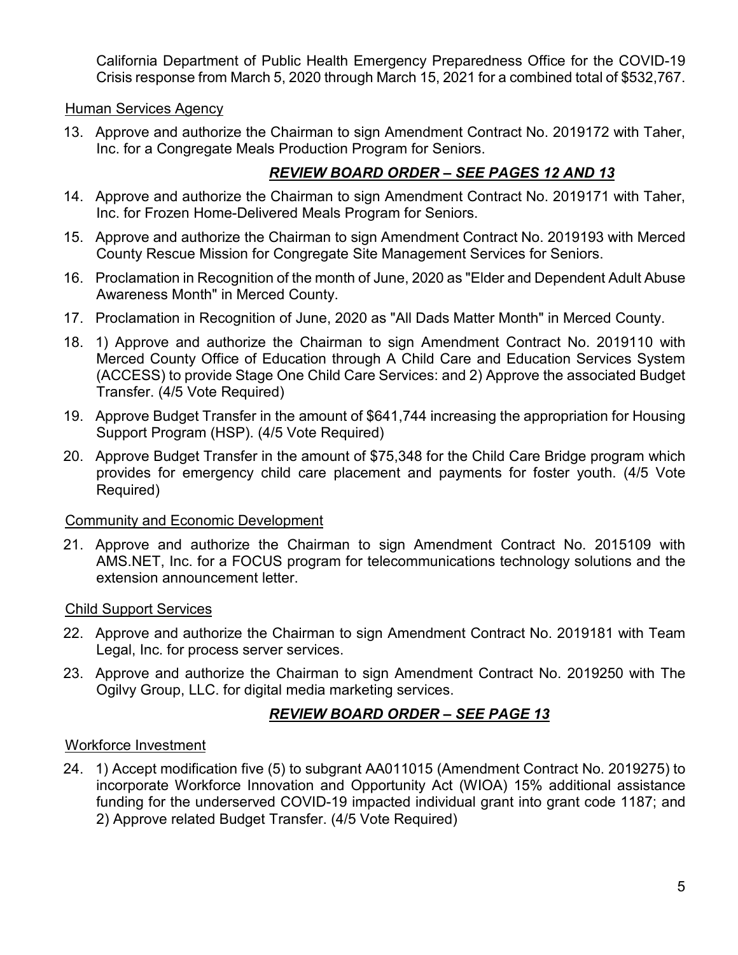California Department of Public Health Emergency Preparedness Office for the COVID-19 Crisis response from March 5, 2020 through March 15, 2021 for a combined total of \$532,767.

### Human Services Agency

13. Approve and authorize the Chairman to sign Amendment Contract No. 2019172 with Taher, Inc. for a Congregate Meals Production Program for Seniors.

## *REVIEW BOARD ORDER – SEE PAGES 12 AND 13*

- 14. Approve and authorize the Chairman to sign Amendment Contract No. 2019171 with Taher, Inc. for Frozen Home-Delivered Meals Program for Seniors.
- 15. Approve and authorize the Chairman to sign Amendment Contract No. 2019193 with Merced County Rescue Mission for Congregate Site Management Services for Seniors.
- 16. Proclamation in Recognition of the month of June, 2020 as "Elder and Dependent Adult Abuse Awareness Month" in Merced County.
- 17. Proclamation in Recognition of June, 2020 as "All Dads Matter Month" in Merced County.
- 18. 1) Approve and authorize the Chairman to sign Amendment Contract No. 2019110 with Merced County Office of Education through A Child Care and Education Services System (ACCESS) to provide Stage One Child Care Services: and 2) Approve the associated Budget Transfer. (4/5 Vote Required)
- 19. Approve Budget Transfer in the amount of \$641,744 increasing the appropriation for Housing Support Program (HSP). (4/5 Vote Required)
- 20. Approve Budget Transfer in the amount of \$75,348 for the Child Care Bridge program which provides for emergency child care placement and payments for foster youth. (4/5 Vote Required)

## Community and Economic Development

21. Approve and authorize the Chairman to sign Amendment Contract No. 2015109 with AMS.NET, Inc. for a FOCUS program for telecommunications technology solutions and the extension announcement letter.

## Child Support Services

- 22. Approve and authorize the Chairman to sign Amendment Contract No. 2019181 with Team Legal, Inc. for process server services.
- 23. Approve and authorize the Chairman to sign Amendment Contract No. 2019250 with The Ogilvy Group, LLC. for digital media marketing services.

## *REVIEW BOARD ORDER – SEE PAGE 13*

## Workforce Investment

24. 1) Accept modification five (5) to subgrant AA011015 (Amendment Contract No. 2019275) to incorporate Workforce Innovation and Opportunity Act (WIOA) 15% additional assistance funding for the underserved COVID-19 impacted individual grant into grant code 1187; and 2) Approve related Budget Transfer. (4/5 Vote Required)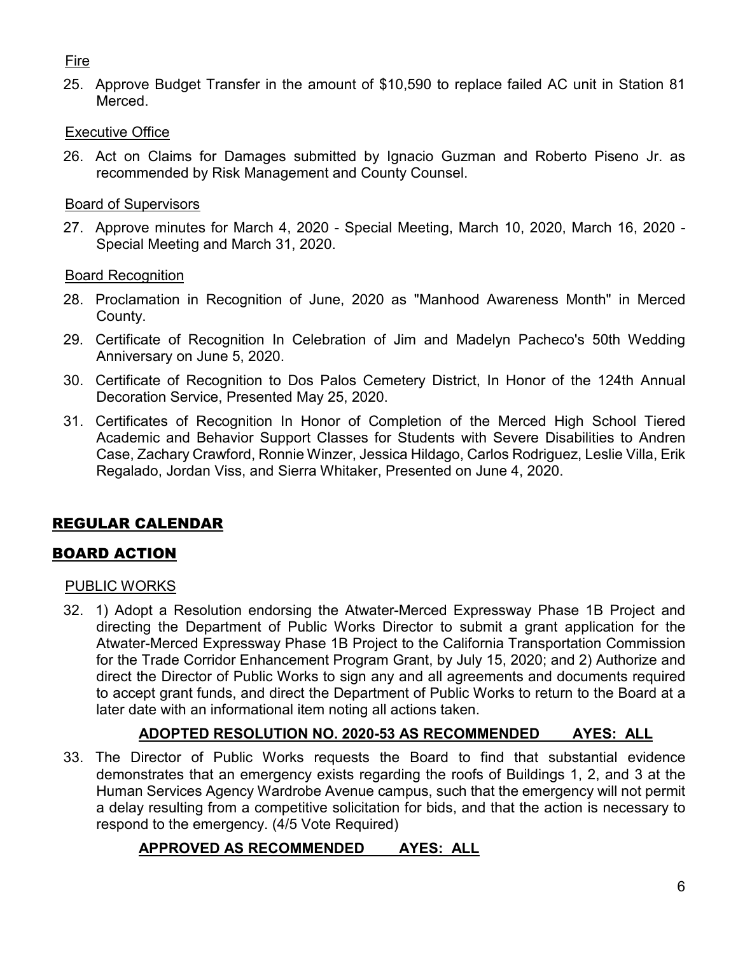## Fire

25. Approve Budget Transfer in the amount of \$10,590 to replace failed AC unit in Station 81 Merced.

## Executive Office

26. Act on Claims for Damages submitted by Ignacio Guzman and Roberto Piseno Jr. as recommended by Risk Management and County Counsel.

## Board of Supervisors

27. Approve minutes for March 4, 2020 - Special Meeting, March 10, 2020, March 16, 2020 - Special Meeting and March 31, 2020.

## Board Recognition

- 28. Proclamation in Recognition of June, 2020 as "Manhood Awareness Month" in Merced County.
- 29. Certificate of Recognition In Celebration of Jim and Madelyn Pacheco's 50th Wedding Anniversary on June 5, 2020.
- 30. Certificate of Recognition to Dos Palos Cemetery District, In Honor of the 124th Annual Decoration Service, Presented May 25, 2020.
- 31. Certificates of Recognition In Honor of Completion of the Merced High School Tiered Academic and Behavior Support Classes for Students with Severe Disabilities to Andren Case, Zachary Crawford, Ronnie Winzer, Jessica Hildago, Carlos Rodriguez, Leslie Villa, Erik Regalado, Jordan Viss, and Sierra Whitaker, Presented on June 4, 2020.

# REGULAR CALENDAR

# BOARD ACTION

# PUBLIC WORKS

32. 1) Adopt a Resolution endorsing the Atwater-Merced Expressway Phase 1B Project and directing the Department of Public Works Director to submit a grant application for the Atwater-Merced Expressway Phase 1B Project to the California Transportation Commission for the Trade Corridor Enhancement Program Grant, by July 15, 2020; and 2) Authorize and direct the Director of Public Works to sign any and all agreements and documents required to accept grant funds, and direct the Department of Public Works to return to the Board at a later date with an informational item noting all actions taken.

# **ADOPTED RESOLUTION NO. 2020-53 AS RECOMMENDED AYES: ALL**

33. The Director of Public Works requests the Board to find that substantial evidence demonstrates that an emergency exists regarding the roofs of Buildings 1, 2, and 3 at the Human Services Agency Wardrobe Avenue campus, such that the emergency will not permit a delay resulting from a competitive solicitation for bids, and that the action is necessary to respond to the emergency. (4/5 Vote Required)

# **APPROVED AS RECOMMENDED AYES: ALL**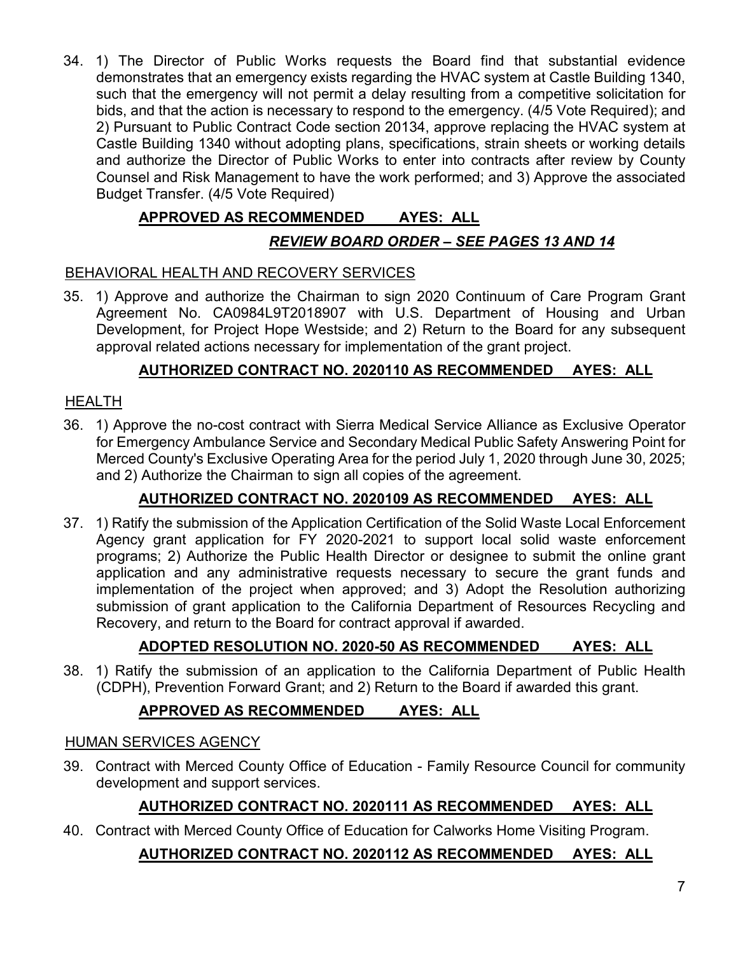34. 1) The Director of Public Works requests the Board find that substantial evidence demonstrates that an emergency exists regarding the HVAC system at Castle Building 1340, such that the emergency will not permit a delay resulting from a competitive solicitation for bids, and that the action is necessary to respond to the emergency. (4/5 Vote Required); and 2) Pursuant to Public Contract Code section 20134, approve replacing the HVAC system at Castle Building 1340 without adopting plans, specifications, strain sheets or working details and authorize the Director of Public Works to enter into contracts after review by County Counsel and Risk Management to have the work performed; and 3) Approve the associated Budget Transfer. (4/5 Vote Required)

# **APPROVED AS RECOMMENDED AYES: ALL**

# *REVIEW BOARD ORDER – SEE PAGES 13 AND 14*

## BEHAVIORAL HEALTH AND RECOVERY SERVICES

35. 1) Approve and authorize the Chairman to sign 2020 Continuum of Care Program Grant Agreement No. CA0984L9T2018907 with U.S. Department of Housing and Urban Development, for Project Hope Westside; and 2) Return to the Board for any subsequent approval related actions necessary for implementation of the grant project.

# **AUTHORIZED CONTRACT NO. 2020110 AS RECOMMENDED AYES: ALL**

## HEALTH

36. 1) Approve the no-cost contract with Sierra Medical Service Alliance as Exclusive Operator for Emergency Ambulance Service and Secondary Medical Public Safety Answering Point for Merced County's Exclusive Operating Area for the period July 1, 2020 through June 30, 2025; and 2) Authorize the Chairman to sign all copies of the agreement.

# **AUTHORIZED CONTRACT NO. 2020109 AS RECOMMENDED AYES: ALL**

37. 1) Ratify the submission of the Application Certification of the Solid Waste Local Enforcement Agency grant application for FY 2020-2021 to support local solid waste enforcement programs; 2) Authorize the Public Health Director or designee to submit the online grant application and any administrative requests necessary to secure the grant funds and implementation of the project when approved; and 3) Adopt the Resolution authorizing submission of grant application to the California Department of Resources Recycling and Recovery, and return to the Board for contract approval if awarded.

## **ADOPTED RESOLUTION NO. 2020-50 AS RECOMMENDED AYES: ALL**

38. 1) Ratify the submission of an application to the California Department of Public Health (CDPH), Prevention Forward Grant; and 2) Return to the Board if awarded this grant.

# **APPROVED AS RECOMMENDED AYES: ALL**

## HUMAN SERVICES AGENCY

39. Contract with Merced County Office of Education - Family Resource Council for community development and support services.

## **AUTHORIZED CONTRACT NO. 2020111 AS RECOMMENDED AYES: ALL**

40. Contract with Merced County Office of Education for Calworks Home Visiting Program.

## **AUTHORIZED CONTRACT NO. 2020112 AS RECOMMENDED AYES: ALL**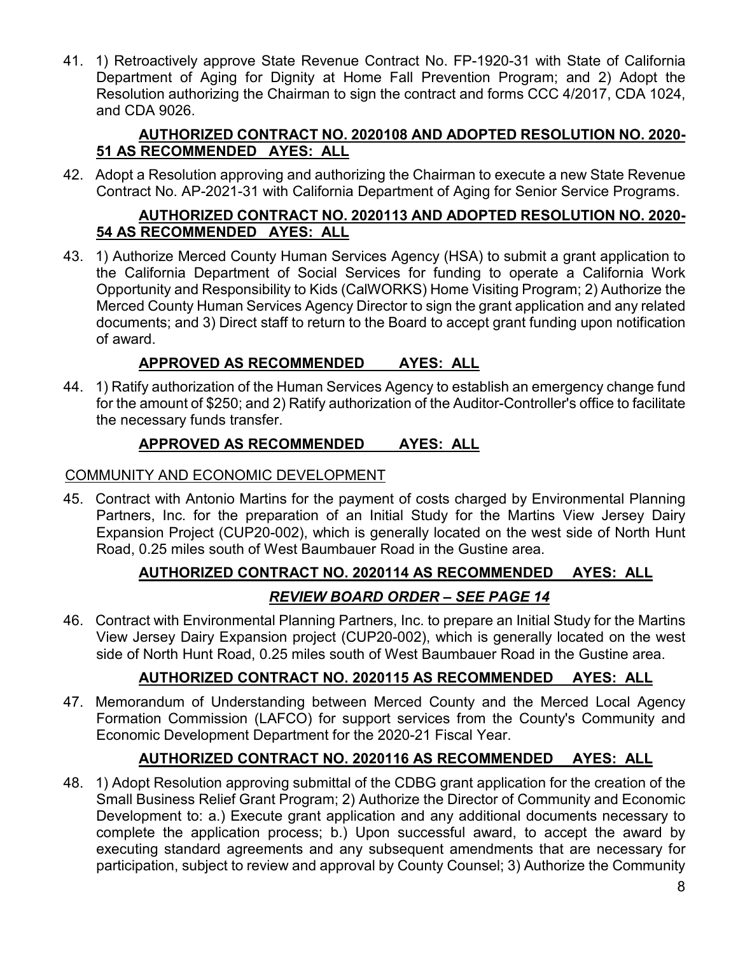41. 1) Retroactively approve State Revenue Contract No. FP-1920-31 with State of California Department of Aging for Dignity at Home Fall Prevention Program; and 2) Adopt the Resolution authorizing the Chairman to sign the contract and forms CCC 4/2017, CDA 1024, and CDA 9026.

## **AUTHORIZED CONTRACT NO. 2020108 AND ADOPTED RESOLUTION NO. 2020- 51 AS RECOMMENDED AYES: ALL**

42. Adopt a Resolution approving and authorizing the Chairman to execute a new State Revenue Contract No. AP-2021-31 with California Department of Aging for Senior Service Programs.

## **AUTHORIZED CONTRACT NO. 2020113 AND ADOPTED RESOLUTION NO. 2020- 54 AS RECOMMENDED AYES: ALL**

43. 1) Authorize Merced County Human Services Agency (HSA) to submit a grant application to the California Department of Social Services for funding to operate a California Work Opportunity and Responsibility to Kids (CalWORKS) Home Visiting Program; 2) Authorize the Merced County Human Services Agency Director to sign the grant application and any related documents; and 3) Direct staff to return to the Board to accept grant funding upon notification of award.

## **APPROVED AS RECOMMENDED AYES: ALL**

44. 1) Ratify authorization of the Human Services Agency to establish an emergency change fund for the amount of \$250; and 2) Ratify authorization of the Auditor-Controller's office to facilitate the necessary funds transfer.

## **APPROVED AS RECOMMENDED AYES: ALL**

## COMMUNITY AND ECONOMIC DEVELOPMENT

45. Contract with Antonio Martins for the payment of costs charged by Environmental Planning Partners, Inc. for the preparation of an Initial Study for the Martins View Jersey Dairy Expansion Project (CUP20-002), which is generally located on the west side of North Hunt Road, 0.25 miles south of West Baumbauer Road in the Gustine area.

# **AUTHORIZED CONTRACT NO. 2020114 AS RECOMMENDED AYES: ALL** *REVIEW BOARD ORDER – SEE PAGE 14*

46. Contract with Environmental Planning Partners, Inc. to prepare an Initial Study for the Martins View Jersey Dairy Expansion project (CUP20-002), which is generally located on the west side of North Hunt Road, 0.25 miles south of West Baumbauer Road in the Gustine area.

## **AUTHORIZED CONTRACT NO. 2020115 AS RECOMMENDED AYES: ALL**

47. Memorandum of Understanding between Merced County and the Merced Local Agency Formation Commission (LAFCO) for support services from the County's Community and Economic Development Department for the 2020-21 Fiscal Year.

# **AUTHORIZED CONTRACT NO. 2020116 AS RECOMMENDED AYES: ALL**

48. 1) Adopt Resolution approving submittal of the CDBG grant application for the creation of the Small Business Relief Grant Program; 2) Authorize the Director of Community and Economic Development to: a.) Execute grant application and any additional documents necessary to complete the application process; b.) Upon successful award, to accept the award by executing standard agreements and any subsequent amendments that are necessary for participation, subject to review and approval by County Counsel; 3) Authorize the Community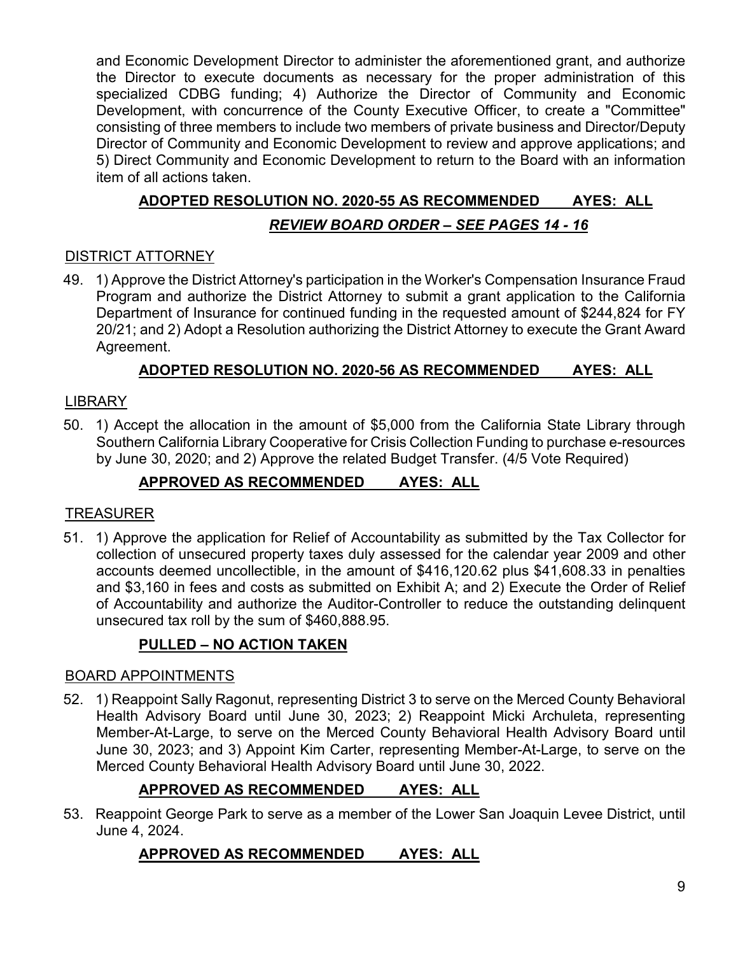and Economic Development Director to administer the aforementioned grant, and authorize the Director to execute documents as necessary for the proper administration of this specialized CDBG funding; 4) Authorize the Director of Community and Economic Development, with concurrence of the County Executive Officer, to create a "Committee" consisting of three members to include two members of private business and Director/Deputy Director of Community and Economic Development to review and approve applications; and 5) Direct Community and Economic Development to return to the Board with an information item of all actions taken.

# **ADOPTED RESOLUTION NO. 2020-55 AS RECOMMENDED AYES: ALL** *REVIEW BOARD ORDER – SEE PAGES 14 - 16*

## DISTRICT ATTORNEY

49. 1) Approve the District Attorney's participation in the Worker's Compensation Insurance Fraud Program and authorize the District Attorney to submit a grant application to the California Department of Insurance for continued funding in the requested amount of \$244,824 for FY 20/21; and 2) Adopt a Resolution authorizing the District Attorney to execute the Grant Award Agreement.

## **ADOPTED RESOLUTION NO. 2020-56 AS RECOMMENDED AYES: ALL**

## LIBRARY

50. 1) Accept the allocation in the amount of \$5,000 from the California State Library through Southern California Library Cooperative for Crisis Collection Funding to purchase e-resources by June 30, 2020; and 2) Approve the related Budget Transfer. (4/5 Vote Required)

# **APPROVED AS RECOMMENDED AYES: ALL**

## **TREASURER**

51. 1) Approve the application for Relief of Accountability as submitted by the Tax Collector for collection of unsecured property taxes duly assessed for the calendar year 2009 and other accounts deemed uncollectible, in the amount of \$416,120.62 plus \$41,608.33 in penalties and \$3,160 in fees and costs as submitted on Exhibit A; and 2) Execute the Order of Relief of Accountability and authorize the Auditor-Controller to reduce the outstanding delinquent unsecured tax roll by the sum of \$460,888.95.

## **PULLED – NO ACTION TAKEN**

## BOARD APPOINTMENTS

52. 1) Reappoint Sally Ragonut, representing District 3 to serve on the Merced County Behavioral Health Advisory Board until June 30, 2023; 2) Reappoint Micki Archuleta, representing Member-At-Large, to serve on the Merced County Behavioral Health Advisory Board until June 30, 2023; and 3) Appoint Kim Carter, representing Member-At-Large, to serve on the Merced County Behavioral Health Advisory Board until June 30, 2022.

## **APPROVED AS RECOMMENDED AYES: ALL**

53. Reappoint George Park to serve as a member of the Lower San Joaquin Levee District, until June 4, 2024.

## **APPROVED AS RECOMMENDED AYES: ALL**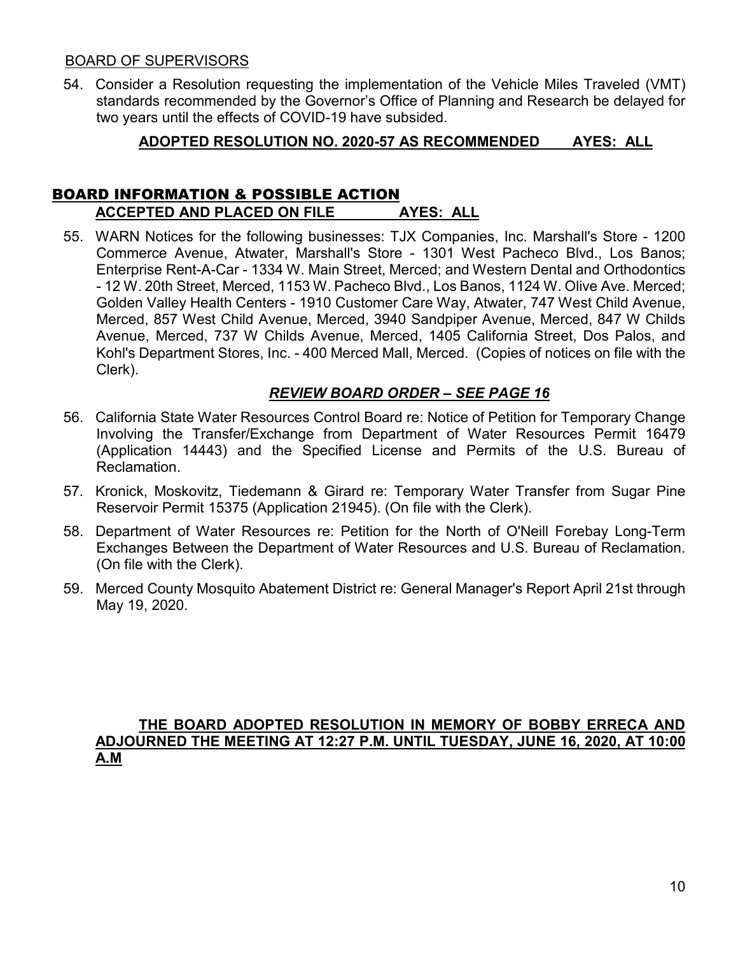#### BOARD OF SUPERVISORS

54. Consider a Resolution requesting the implementation of the Vehicle Miles Traveled (VMT) standards recommended by the Governor's Office of Planning and Research be delayed for two years until the effects of COVID-19 have subsided.

### **ADOPTED RESOLUTION NO. 2020-57 AS RECOMMENDED AYES: ALL**

### BOARD INFORMATION & POSSIBLE ACTION **ACCEPTED AND PLACED ON FILE AYES: ALL**

55. WARN Notices for the following businesses: TJX Companies, Inc. Marshall's Store - 1200 Commerce Avenue, Atwater, Marshall's Store - 1301 West Pacheco Blvd., Los Banos; Enterprise Rent-A-Car - 1334 W. Main Street, Merced; and Western Dental and Orthodontics - 12 W. 20th Street, Merced, 1153 W. Pacheco Blvd., Los Banos, 1124 W. Olive Ave. Merced; Golden Valley Health Centers - 1910 Customer Care Way, Atwater, 747 West Child Avenue, Merced, 857 West Child Avenue, Merced, 3940 Sandpiper Avenue, Merced, 847 W Childs Avenue, Merced, 737 W Childs Avenue, Merced, 1405 California Street, Dos Palos, and Kohl's Department Stores, Inc. - 400 Merced Mall, Merced. (Copies of notices on file with the Clerk).

### *REVIEW BOARD ORDER – SEE PAGE 16*

- 56. California State Water Resources Control Board re: Notice of Petition for Temporary Change Involving the Transfer/Exchange from Department of Water Resources Permit 16479 (Application 14443) and the Specified License and Permits of the U.S. Bureau of Reclamation.
- 57. Kronick, Moskovitz, Tiedemann & Girard re: Temporary Water Transfer from Sugar Pine Reservoir Permit 15375 (Application 21945). (On file with the Clerk).
- 58. Department of Water Resources re: Petition for the North of O'Neill Forebay Long-Term Exchanges Between the Department of Water Resources and U.S. Bureau of Reclamation. (On file with the Clerk).
- 59. Merced County Mosquito Abatement District re: General Manager's Report April 21st through May 19, 2020.

#### **THE BOARD ADOPTED RESOLUTION IN MEMORY OF BOBBY ERRECA AND ADJOURNED THE MEETING AT 12:27 P.M. UNTIL TUESDAY, JUNE 16, 2020, AT 10:00 A.M**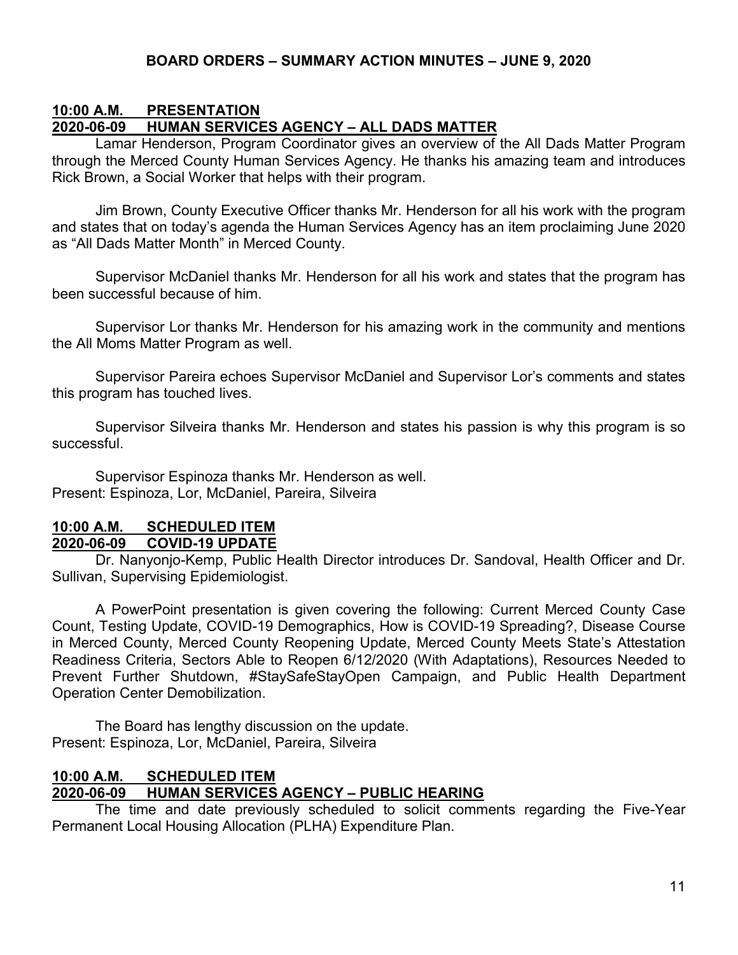#### **10:00 A.M. PRESENTATION 2020-06-09 HUMAN SERVICES AGENCY – ALL DADS MATTER**

Lamar Henderson, Program Coordinator gives an overview of the All Dads Matter Program through the Merced County Human Services Agency. He thanks his amazing team and introduces Rick Brown, a Social Worker that helps with their program.

Jim Brown, County Executive Officer thanks Mr. Henderson for all his work with the program and states that on today's agenda the Human Services Agency has an item proclaiming June 2020 as "All Dads Matter Month" in Merced County.

Supervisor McDaniel thanks Mr. Henderson for all his work and states that the program has been successful because of him.

Supervisor Lor thanks Mr. Henderson for his amazing work in the community and mentions the All Moms Matter Program as well.

Supervisor Pareira echoes Supervisor McDaniel and Supervisor Lor's comments and states this program has touched lives.

Supervisor Silveira thanks Mr. Henderson and states his passion is why this program is so successful.

Supervisor Espinoza thanks Mr. Henderson as well. Present: Espinoza, Lor, McDaniel, Pareira, Silveira

### **10:00 A.M. SCHEDULED ITEM 2020-06-09 COVID-19 UPDATE**

Dr. Nanyonjo-Kemp, Public Health Director introduces Dr. Sandoval, Health Officer and Dr. Sullivan, Supervising Epidemiologist.

A PowerPoint presentation is given covering the following: Current Merced County Case Count, Testing Update, COVID-19 Demographics, How is COVID-19 Spreading?, Disease Course in Merced County, Merced County Reopening Update, Merced County Meets State's Attestation Readiness Criteria, Sectors Able to Reopen 6/12/2020 (With Adaptations), Resources Needed to Prevent Further Shutdown, #StaySafeStayOpen Campaign, and Public Health Department Operation Center Demobilization.

The Board has lengthy discussion on the update. Present: Espinoza, Lor, McDaniel, Pareira, Silveira

### **10:00 A.M. SCHEDULED ITEM 2020-06-09 HUMAN SERVICES AGENCY – PUBLIC HEARING**

The time and date previously scheduled to solicit comments regarding the Five-Year Permanent Local Housing Allocation (PLHA) Expenditure Plan.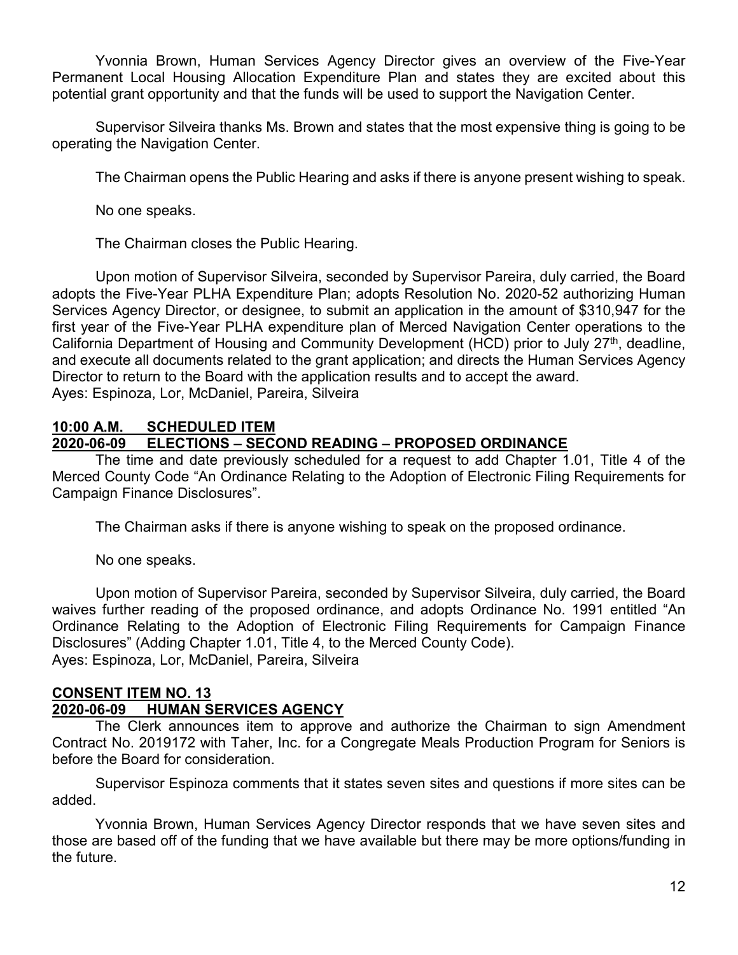Yvonnia Brown, Human Services Agency Director gives an overview of the Five-Year Permanent Local Housing Allocation Expenditure Plan and states they are excited about this potential grant opportunity and that the funds will be used to support the Navigation Center.

Supervisor Silveira thanks Ms. Brown and states that the most expensive thing is going to be operating the Navigation Center.

The Chairman opens the Public Hearing and asks if there is anyone present wishing to speak.

No one speaks.

The Chairman closes the Public Hearing.

Upon motion of Supervisor Silveira, seconded by Supervisor Pareira, duly carried, the Board adopts the Five-Year PLHA Expenditure Plan; adopts Resolution No. 2020-52 authorizing Human Services Agency Director, or designee, to submit an application in the amount of \$310,947 for the first year of the Five-Year PLHA expenditure plan of Merced Navigation Center operations to the California Department of Housing and Community Development (HCD) prior to July 27<sup>th</sup>, deadline, and execute all documents related to the grant application; and directs the Human Services Agency Director to return to the Board with the application results and to accept the award. Ayes: Espinoza, Lor, McDaniel, Pareira, Silveira

### **10:00 A.M. SCHEDULED ITEM**

### **2020-06-09 ELECTIONS – SECOND READING – PROPOSED ORDINANCE**

The time and date previously scheduled for a request to add Chapter 1.01, Title 4 of the Merced County Code "An Ordinance Relating to the Adoption of Electronic Filing Requirements for Campaign Finance Disclosures".

The Chairman asks if there is anyone wishing to speak on the proposed ordinance.

No one speaks.

Upon motion of Supervisor Pareira, seconded by Supervisor Silveira, duly carried, the Board waives further reading of the proposed ordinance, and adopts Ordinance No. 1991 entitled "An Ordinance Relating to the Adoption of Electronic Filing Requirements for Campaign Finance Disclosures" (Adding Chapter 1.01, Title 4, to the Merced County Code). Ayes: Espinoza, Lor, McDaniel, Pareira, Silveira

### **CONSENT ITEM NO. 13 2020-06-09 HUMAN SERVICES AGENCY**

The Clerk announces item to approve and authorize the Chairman to sign Amendment Contract No. 2019172 with Taher, Inc. for a Congregate Meals Production Program for Seniors is before the Board for consideration.

Supervisor Espinoza comments that it states seven sites and questions if more sites can be added.

Yvonnia Brown, Human Services Agency Director responds that we have seven sites and those are based off of the funding that we have available but there may be more options/funding in the future.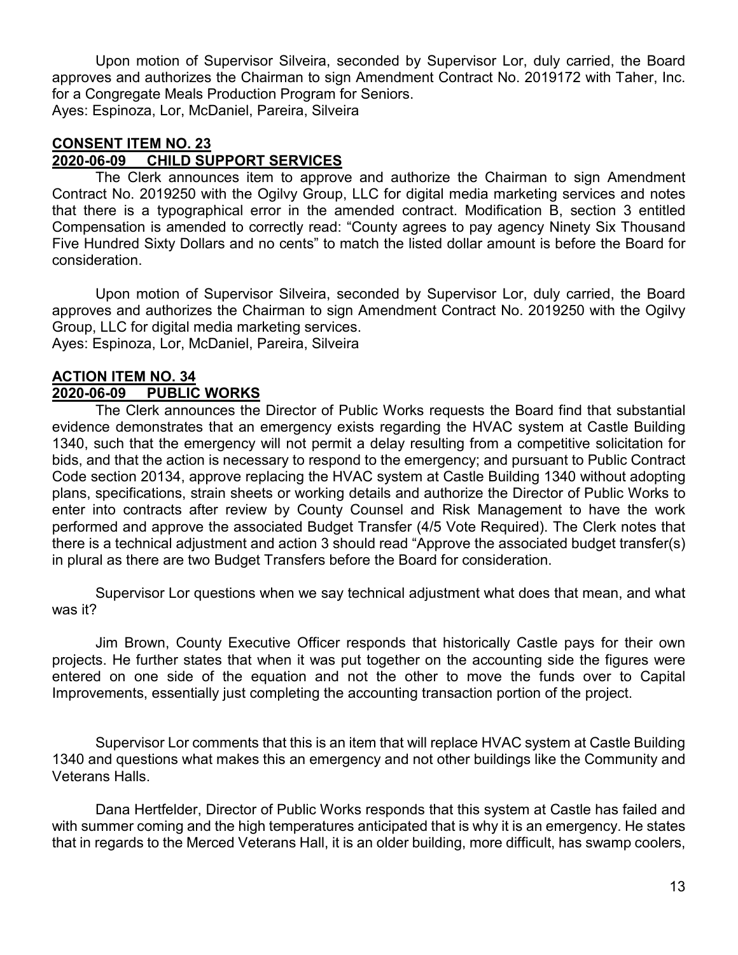Upon motion of Supervisor Silveira, seconded by Supervisor Lor, duly carried, the Board approves and authorizes the Chairman to sign Amendment Contract No. 2019172 with Taher, Inc. for a Congregate Meals Production Program for Seniors.

Ayes: Espinoza, Lor, McDaniel, Pareira, Silveira

### **CONSENT ITEM NO. 23**

## **2020-06-09 CHILD SUPPORT SERVICES**

The Clerk announces item to approve and authorize the Chairman to sign Amendment Contract No. 2019250 with the Ogilvy Group, LLC for digital media marketing services and notes that there is a typographical error in the amended contract. Modification B, section 3 entitled Compensation is amended to correctly read: "County agrees to pay agency Ninety Six Thousand Five Hundred Sixty Dollars and no cents" to match the listed dollar amount is before the Board for consideration.

Upon motion of Supervisor Silveira, seconded by Supervisor Lor, duly carried, the Board approves and authorizes the Chairman to sign Amendment Contract No. 2019250 with the Ogilvy Group, LLC for digital media marketing services.

Ayes: Espinoza, Lor, McDaniel, Pareira, Silveira

### **ACTION ITEM NO. 34 2020-06-09 PUBLIC WORKS**

The Clerk announces the Director of Public Works requests the Board find that substantial evidence demonstrates that an emergency exists regarding the HVAC system at Castle Building 1340, such that the emergency will not permit a delay resulting from a competitive solicitation for bids, and that the action is necessary to respond to the emergency; and pursuant to Public Contract Code section 20134, approve replacing the HVAC system at Castle Building 1340 without adopting plans, specifications, strain sheets or working details and authorize the Director of Public Works to enter into contracts after review by County Counsel and Risk Management to have the work performed and approve the associated Budget Transfer (4/5 Vote Required). The Clerk notes that there is a technical adjustment and action 3 should read "Approve the associated budget transfer(s) in plural as there are two Budget Transfers before the Board for consideration.

Supervisor Lor questions when we say technical adjustment what does that mean, and what was it?

Jim Brown, County Executive Officer responds that historically Castle pays for their own projects. He further states that when it was put together on the accounting side the figures were entered on one side of the equation and not the other to move the funds over to Capital Improvements, essentially just completing the accounting transaction portion of the project.

Supervisor Lor comments that this is an item that will replace HVAC system at Castle Building 1340 and questions what makes this an emergency and not other buildings like the Community and Veterans Halls.

Dana Hertfelder, Director of Public Works responds that this system at Castle has failed and with summer coming and the high temperatures anticipated that is why it is an emergency. He states that in regards to the Merced Veterans Hall, it is an older building, more difficult, has swamp coolers,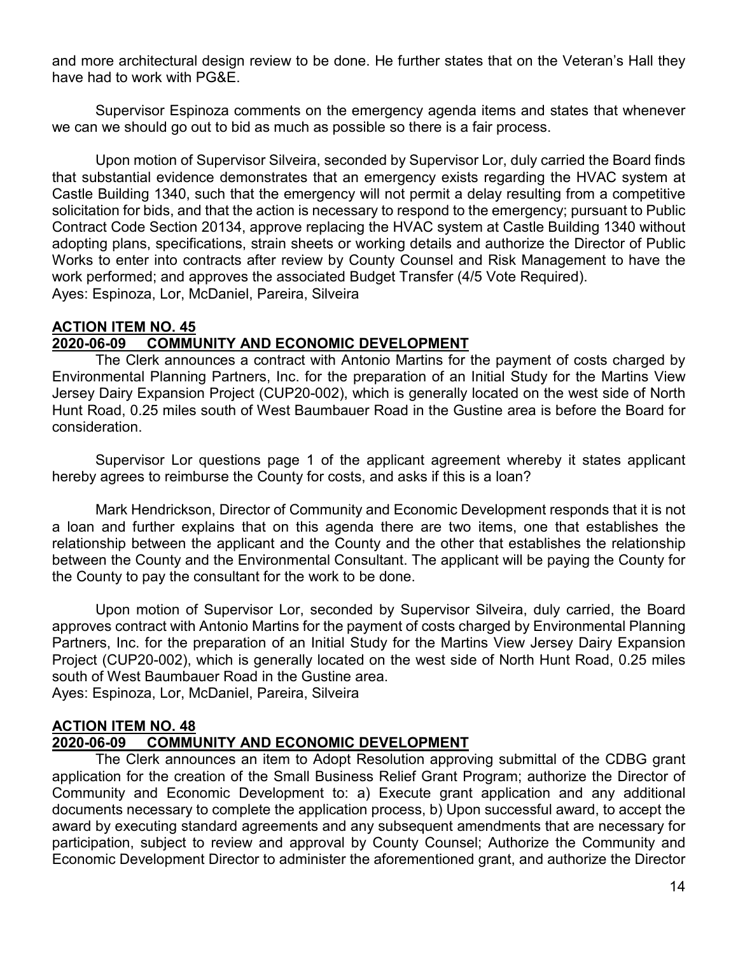and more architectural design review to be done. He further states that on the Veteran's Hall they have had to work with PG&E.

Supervisor Espinoza comments on the emergency agenda items and states that whenever we can we should go out to bid as much as possible so there is a fair process.

Upon motion of Supervisor Silveira, seconded by Supervisor Lor, duly carried the Board finds that substantial evidence demonstrates that an emergency exists regarding the HVAC system at Castle Building 1340, such that the emergency will not permit a delay resulting from a competitive solicitation for bids, and that the action is necessary to respond to the emergency; pursuant to Public Contract Code Section 20134, approve replacing the HVAC system at Castle Building 1340 without adopting plans, specifications, strain sheets or working details and authorize the Director of Public Works to enter into contracts after review by County Counsel and Risk Management to have the work performed; and approves the associated Budget Transfer (4/5 Vote Required). Ayes: Espinoza, Lor, McDaniel, Pareira, Silveira

### **ACTION ITEM NO. 45 2020-06-09 COMMUNITY AND ECONOMIC DEVELOPMENT**

The Clerk announces a contract with Antonio Martins for the payment of costs charged by Environmental Planning Partners, Inc. for the preparation of an Initial Study for the Martins View Jersey Dairy Expansion Project (CUP20-002), which is generally located on the west side of North Hunt Road, 0.25 miles south of West Baumbauer Road in the Gustine area is before the Board for consideration.

Supervisor Lor questions page 1 of the applicant agreement whereby it states applicant hereby agrees to reimburse the County for costs, and asks if this is a loan?

Mark Hendrickson, Director of Community and Economic Development responds that it is not a loan and further explains that on this agenda there are two items, one that establishes the relationship between the applicant and the County and the other that establishes the relationship between the County and the Environmental Consultant. The applicant will be paying the County for the County to pay the consultant for the work to be done.

Upon motion of Supervisor Lor, seconded by Supervisor Silveira, duly carried, the Board approves contract with Antonio Martins for the payment of costs charged by Environmental Planning Partners, Inc. for the preparation of an Initial Study for the Martins View Jersey Dairy Expansion Project (CUP20-002), which is generally located on the west side of North Hunt Road, 0.25 miles south of West Baumbauer Road in the Gustine area.

Ayes: Espinoza, Lor, McDaniel, Pareira, Silveira

## **ACTION ITEM NO. 48**

## **2020-06-09 COMMUNITY AND ECONOMIC DEVELOPMENT**

The Clerk announces an item to Adopt Resolution approving submittal of the CDBG grant application for the creation of the Small Business Relief Grant Program; authorize the Director of Community and Economic Development to: a) Execute grant application and any additional documents necessary to complete the application process, b) Upon successful award, to accept the award by executing standard agreements and any subsequent amendments that are necessary for participation, subject to review and approval by County Counsel; Authorize the Community and Economic Development Director to administer the aforementioned grant, and authorize the Director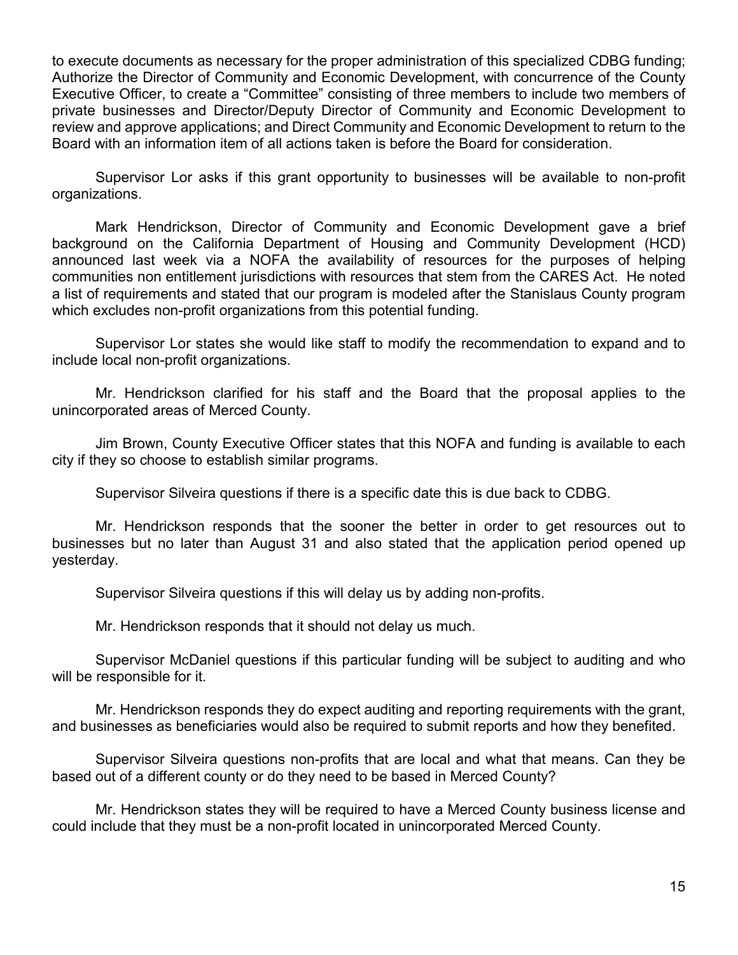to execute documents as necessary for the proper administration of this specialized CDBG funding; Authorize the Director of Community and Economic Development, with concurrence of the County Executive Officer, to create a "Committee" consisting of three members to include two members of private businesses and Director/Deputy Director of Community and Economic Development to review and approve applications; and Direct Community and Economic Development to return to the Board with an information item of all actions taken is before the Board for consideration.

Supervisor Lor asks if this grant opportunity to businesses will be available to non-profit organizations.

Mark Hendrickson, Director of Community and Economic Development gave a brief background on the California Department of Housing and Community Development (HCD) announced last week via a NOFA the availability of resources for the purposes of helping communities non entitlement jurisdictions with resources that stem from the CARES Act. He noted a list of requirements and stated that our program is modeled after the Stanislaus County program which excludes non-profit organizations from this potential funding.

Supervisor Lor states she would like staff to modify the recommendation to expand and to include local non-profit organizations.

Mr. Hendrickson clarified for his staff and the Board that the proposal applies to the unincorporated areas of Merced County.

Jim Brown, County Executive Officer states that this NOFA and funding is available to each city if they so choose to establish similar programs.

Supervisor Silveira questions if there is a specific date this is due back to CDBG.

Mr. Hendrickson responds that the sooner the better in order to get resources out to businesses but no later than August 31 and also stated that the application period opened up yesterday.

Supervisor Silveira questions if this will delay us by adding non-profits.

Mr. Hendrickson responds that it should not delay us much.

Supervisor McDaniel questions if this particular funding will be subject to auditing and who will be responsible for it.

Mr. Hendrickson responds they do expect auditing and reporting requirements with the grant, and businesses as beneficiaries would also be required to submit reports and how they benefited.

Supervisor Silveira questions non-profits that are local and what that means. Can they be based out of a different county or do they need to be based in Merced County?

Mr. Hendrickson states they will be required to have a Merced County business license and could include that they must be a non-profit located in unincorporated Merced County.